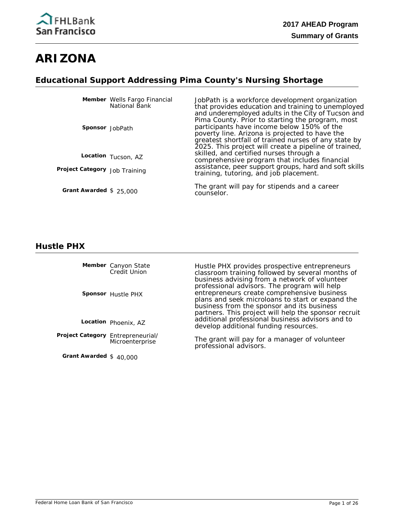

# **ARIZONA**

## **Educational Support Addressing Pima County's Nursing Shortage**

|                               | Member Wells Fargo Financial<br>National Bank | JobPath is a workforce development organization<br>that provides education and training to unemployed<br>and underemployed adults in the City of Tucson and                                                                                                       |
|-------------------------------|-----------------------------------------------|-------------------------------------------------------------------------------------------------------------------------------------------------------------------------------------------------------------------------------------------------------------------|
| Sponsor JobPath               |                                               | Pima County. Prior to starting the program, most<br>participants have income below 150% of the<br>poverty line. Arizona is projected to have the<br>greatest shortfall of trained nurses of any state by<br>2025. This project will create a pipeline of trained, |
|                               | Location Tucson, AZ                           | skilled, and certified nurses through a<br>comprehensive program that includes financial                                                                                                                                                                          |
| Project Category Job Training |                                               | assistance, peer support groups, hard and soft skills<br>training, tutoring, and job placement.                                                                                                                                                                   |
| Grant Awarded $$25,000$       |                                               | The grant will pay for stipends and a career<br>counselor.                                                                                                                                                                                                        |

#### **Hustle PHX**

Member Canyon State Credit Union

**Sponsor** Hustle PHX

**Location** Phoenix, AZ

Project Category Entrepreneurial/ **Microenterprise** 

**Grant Awarded** \$ 40,000

Hustle PHX provides prospective entrepreneurs classroom training followed by several months of business advising from a network of volunteer professional advisors. The program will help entrepreneurs create comprehensive business plans and seek microloans to start or expand the business from the sponsor and its business partners. This project will help the sponsor recruit additional professional business advisors and to develop additional funding resources.

The grant will pay for a manager of volunteer professional advisors.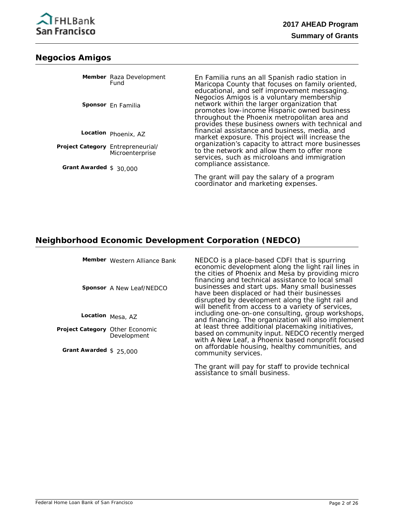

### **Negocios Amigos**

|                                   | Member Raza Development<br>Fund<br>Sponsor En Familia | En Familia runs an all Spanish radio station in<br>Maricopa County that focuses on family oriented,<br>educational, and self improvement messaging.<br>Negocios Amigos is a voluntary membership<br>network within the larger organization that<br>promotes low-income Hispanic owned business<br>throughout the Phoenix metropolitan area and<br>provides these business owners with technical and |
|-----------------------------------|-------------------------------------------------------|-----------------------------------------------------------------------------------------------------------------------------------------------------------------------------------------------------------------------------------------------------------------------------------------------------------------------------------------------------------------------------------------------------|
|                                   | Location Phoenix, AZ                                  | financial assistance and business, media, and<br>market exposure. This project will increase the                                                                                                                                                                                                                                                                                                    |
| Project Category Entrepreneurial/ | Microenterprise                                       | organization's capacity to attract more businesses<br>to the network and allow them to offer more<br>services, such as microloans and immigration                                                                                                                                                                                                                                                   |
| Grant Awarded $$30,000$           |                                                       | compliance assistance.                                                                                                                                                                                                                                                                                                                                                                              |
|                                   |                                                       | The grant will pay the salary of a program                                                                                                                                                                                                                                                                                                                                                          |

coordinator and marketing expenses.

# **Neighborhood Economic Development Corporation (NEDCO)**

|                                        | Member Western Alliance Bank<br><b>Sponsor</b> A New Leaf/NEDCO | NEDCO is a place-based CDFI that is spurring<br>economic development along the light rail lines in<br>the cities of Phoenix and Mesa by providing micro<br>financing and technical assistance to local small<br>businesses and start ups. Many small businesses<br>have been displaced or had their businesses<br>disrupted by development along the light rail and<br>will benefit from access to a variety of services, |
|----------------------------------------|-----------------------------------------------------------------|---------------------------------------------------------------------------------------------------------------------------------------------------------------------------------------------------------------------------------------------------------------------------------------------------------------------------------------------------------------------------------------------------------------------------|
|                                        | Location Mesa, AZ                                               | including one-on-one consulting, group workshops,<br>and financing. The organization will also implement                                                                                                                                                                                                                                                                                                                  |
| <b>Project Category Other Economic</b> | Development                                                     | at least three additional placemaking initiatives,<br>based on community input. NEDCO recently merged<br>with A New Leaf, a Phoenix based nonprofit focused                                                                                                                                                                                                                                                               |
| Grant Awarded $$25,000$                |                                                                 | on affordable housing, healthy communities, and<br>community services.                                                                                                                                                                                                                                                                                                                                                    |
|                                        |                                                                 | The grant will pay for staff to provide technical<br>assistance to small business.                                                                                                                                                                                                                                                                                                                                        |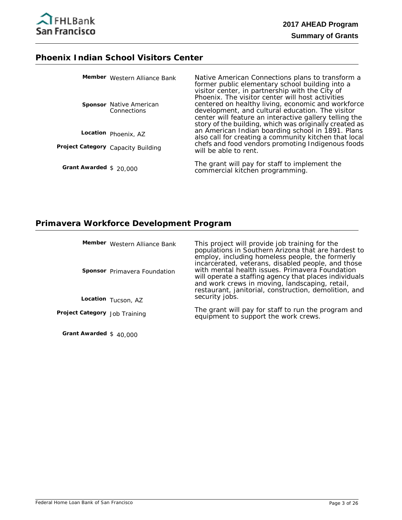# **Phoenix Indian School Visitors Center**

|                         | Member Western Alliance Bank                  | Native American Connections plans to transform a<br>former public elementary school building into a<br>visitor center, in partnership with the City of<br>Phoenix. The visitor center will host activities                 |
|-------------------------|-----------------------------------------------|----------------------------------------------------------------------------------------------------------------------------------------------------------------------------------------------------------------------------|
|                         | <b>Sponsor</b> Native American<br>Connections | centered on healthy living, economic and workforce<br>development, and cultural education. The visitor<br>center will feature an interactive gallery telling the<br>story of the building, which was originally created as |
|                         | Location Phoenix, AZ                          | an American Indian boarding school in 1891. Plans<br>also call for creating a community kitchen that local                                                                                                                 |
|                         | Project Category Capacity Building            | chefs and food vendors promoting Indigenous foods<br>will be able to rent.                                                                                                                                                 |
| Grant Awarded $$20,000$ |                                               | The grant will pay for staff to implement the<br>commercial kitchen programming.                                                                                                                                           |

# **Primavera Workforce Development Program**

|                               | Member Western Alliance Bank<br><b>Sponsor</b> Primavera Foundation | This project will provide job training for the<br>populations in Southern Arizona that are hardest to<br>employ, including homeless people, the formerly<br>incarcerated, veterans, disabled people, and those<br>with mental health issues. Primavera Foundation<br>will operate a staffing agency that places individuals<br>and work crews in moving, landscaping, retail,<br>restaurant, janitorial, construction, demolition, and |
|-------------------------------|---------------------------------------------------------------------|----------------------------------------------------------------------------------------------------------------------------------------------------------------------------------------------------------------------------------------------------------------------------------------------------------------------------------------------------------------------------------------------------------------------------------------|
|                               | Location Tucson, AZ                                                 | security jobs.                                                                                                                                                                                                                                                                                                                                                                                                                         |
| Project Category Job Training |                                                                     | The grant will pay for staff to run the program and<br>equipment to support the work crews.                                                                                                                                                                                                                                                                                                                                            |
|                               |                                                                     |                                                                                                                                                                                                                                                                                                                                                                                                                                        |

**Grant Awarded** \$ 40,000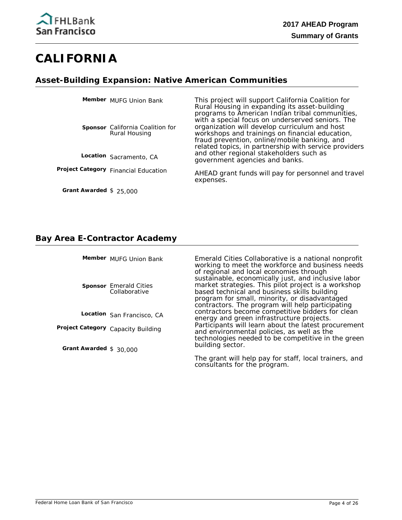# **CALIFORNIA**

# **Asset-Building Expansion: Native American Communities**

| Member MUFG Union Bank                            | This project will support California Coalition for<br>Rural Housing in expanding its asset-building<br>programs to American Indian tribal communities,<br>with a special focus on underserved seniors. The |
|---------------------------------------------------|------------------------------------------------------------------------------------------------------------------------------------------------------------------------------------------------------------|
| Sponsor California Coalition for<br>Rural Housing | organization will develop curriculum and host<br>workshops and trainings on financial education,<br>fraud prevention, online/mobile banking, and<br>related topics, in partnership with service providers  |
| Location Sacramento, CA                           | and other regional stakeholders such as<br>government agencies and banks.                                                                                                                                  |
| Project Category Financial Education              | AHEAD grant funds will pay for personnel and travel<br>expenses.                                                                                                                                           |

#### **Bay Area E-Contractor Academy**

**Grant Awarded** \$ 25,000

|                         | Member MUFG Union Bank                         | Emerald Cities Collaborative is a national nonprofit<br>working to meet the workforce and business needs<br>of regional and local economies through<br>sustainable, economically just, and inclusive labor |
|-------------------------|------------------------------------------------|------------------------------------------------------------------------------------------------------------------------------------------------------------------------------------------------------------|
|                         | <b>Sponsor</b> Emerald Cities<br>Collaborative | market strategies. This pilot project is a workshop<br>based technical and business skills building<br>program for small, minority, or disadvantaged<br>contractors. The program will help participating   |
|                         | Location San Francisco, CA                     | contractors become competitive bidders for clean<br>energy and green infrastructure projects.                                                                                                              |
|                         | Project Category Capacity Building             | Participants will learn about the latest procurement<br>and environmental policies, as well as the<br>technologies needed to be competitive in the green                                                   |
| Grant Awarded $$30,000$ |                                                | building sector.                                                                                                                                                                                           |
|                         |                                                | The grant will help pay for staff, local trainers, and<br>consultants for the program.                                                                                                                     |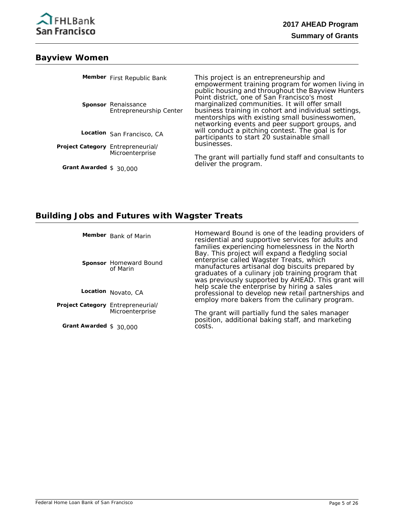

#### **Bayview Women**

|                                   | Member First Republic Bank                            | This project is an entrepreneurship and<br>empowerment training program for women living in<br>public housing and throughout the Bayview Hunters<br>Point district, one of San Francisco's most           |
|-----------------------------------|-------------------------------------------------------|-----------------------------------------------------------------------------------------------------------------------------------------------------------------------------------------------------------|
|                                   | <b>Sponsor</b> Renaissance<br>Entrepreneurship Center | marginalized communities. It will offer small<br>business training in cohort and individual settings,<br>mentorships with existing small businesswomen,<br>networking events and peer support groups, and |
|                                   | Location San Francisco, CA                            | will conduct a pitching contest. The goal is for<br>participants to start 20 sustainable small                                                                                                            |
| Project Category Entrepreneurial/ |                                                       | businesses.                                                                                                                                                                                               |
| Grant Awarded $$30,000$           | Microenterprise                                       | The grant will partially fund staff and consultants to<br>deliver the program.                                                                                                                            |
|                                   |                                                       |                                                                                                                                                                                                           |

#### **Building Jobs and Futures with Wagster Treats**

**Member** Bank of Marin

**Sponsor** Homeward Bound of Marin

**Location** Novato, CA

Project Category Entrepreneurial/ **Microenterprise** 

**Grant Awarded** \$ 30,000

Homeward Bound is one of the leading providers of residential and supportive services for adults and families experiencing homelessness in the North Bay. This project will expand a fledgling social enterprise called Wagster Treats, which manufactures artisanal dog biscuits prepared by graduates of a culinary job training program that was previously supported by AHEAD. This grant will help scale the enterprise by hiring a sales professional to develop new retail partnerships and employ more bakers from the culinary program.

The grant will partially fund the sales manager position, additional baking staff, and marketing costs.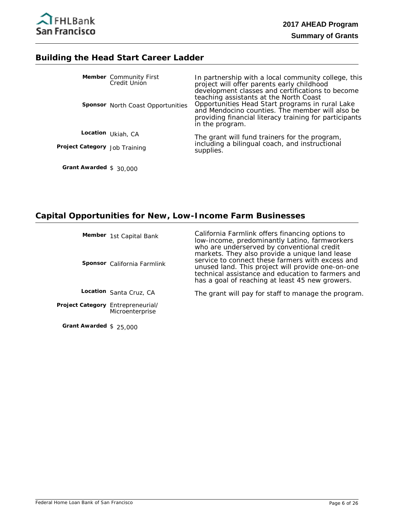

#### **Building the Head Start Career Ladder**

|  | <b>Member</b> Community First<br>Credit Union<br><b>Sponsor</b> North Coast Opportunities | In partnership with a local community college, this<br>project will offer parents early childhood<br>development classes and certifications to become<br>teaching assistants at the North Coast<br>Opportunities Head Start programs in rural Lake<br>and Mendocino counties. The member will also be<br>providing financial literacy training for participants<br>in the program. |
|--|-------------------------------------------------------------------------------------------|------------------------------------------------------------------------------------------------------------------------------------------------------------------------------------------------------------------------------------------------------------------------------------------------------------------------------------------------------------------------------------|
|  | Location Ukiah, CA<br>Project Category Job Training                                       | The grant will fund trainers for the program,<br>including a bilingual coach, and instructional<br>supplies.                                                                                                                                                                                                                                                                       |
|  |                                                                                           |                                                                                                                                                                                                                                                                                                                                                                                    |

**Grant Awarded** \$ 30,000

# **Capital Opportunities for New, Low-Income Farm Businesses**

|                                   | Member 1st Capital Bank<br><b>Sponsor</b> California Farmlink | California Farmlink offers financing options to<br>low-income, predominantly Latino, farmworkers<br>who are underserved by conventional credit<br>markets. They also provide a unique land lease<br>service to connect these farmers with excess and<br>unused land. This project will provide one-on-one<br>technical assistance and education to farmers and<br>has a goal of reaching at least 45 new growers. |
|-----------------------------------|---------------------------------------------------------------|-------------------------------------------------------------------------------------------------------------------------------------------------------------------------------------------------------------------------------------------------------------------------------------------------------------------------------------------------------------------------------------------------------------------|
|                                   | Location Santa Cruz, CA                                       | The grant will pay for staff to manage the program.                                                                                                                                                                                                                                                                                                                                                               |
| Project Category Entrepreneurial/ | Microenterprise                                               |                                                                                                                                                                                                                                                                                                                                                                                                                   |

**Grant Awarded** \$ 25,000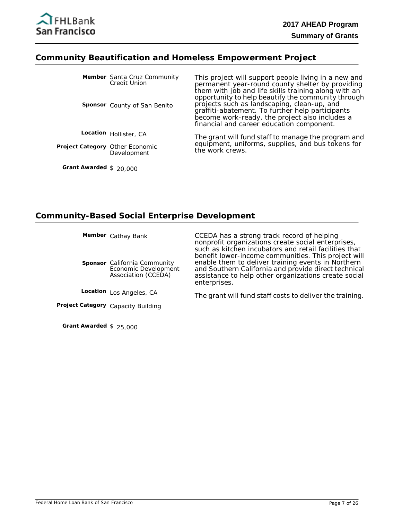

#### **Community Beautification and Homeless Empowerment Project**

|                                        | Member Santa Cruz Community<br><b>Credit Union</b><br><b>Sponsor</b> County of San Benito | This project will support people living in a new and<br>permanent year-round county shelter by providing<br>them with job and life skills training along with an<br>opportunity to help beautify the community through<br>projects such as landscaping, clean-up, and<br>graffiti-abatement. To further help participants<br>become work-ready, the project also includes a<br>financial and career education component. |
|----------------------------------------|-------------------------------------------------------------------------------------------|--------------------------------------------------------------------------------------------------------------------------------------------------------------------------------------------------------------------------------------------------------------------------------------------------------------------------------------------------------------------------------------------------------------------------|
|                                        | Location Hollister, CA                                                                    | The grant will fund staff to manage the program and                                                                                                                                                                                                                                                                                                                                                                      |
| <b>Project Category Other Economic</b> | Development                                                                               | equipment, uniforms, supplies, and bus tokens for<br>the work crews.                                                                                                                                                                                                                                                                                                                                                     |

**Grant Awarded** \$ 20,000

#### **Community-Based Social Enterprise Development**

**Member** Cathay Bank

**Sponsor** California Community Economic Development Association (CCEDA)

CCEDA has a strong track record of helping nonprofit organizations create social enterprises, such as kitchen incubators and retail facilities that benefit lower-income communities. This project will enable them to deliver training events in Northern and Southern California and provide direct technical assistance to help other organizations create social enterprises.

Location Los Angeles, CA

**Project Category** Capacity Building

**Grant Awarded** \$ 25,000

The grant will fund staff costs to deliver the training.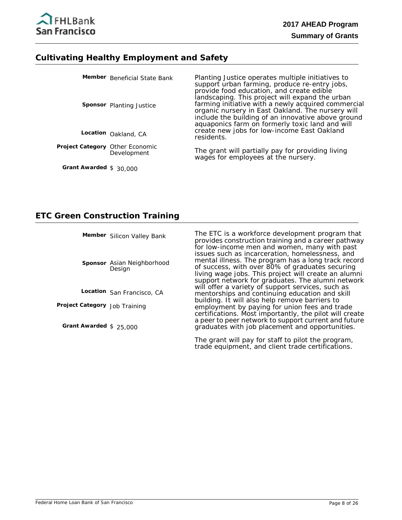

#### **Cultivating Healthy Employment and Safety**

|                                        | Member Beneficial State Bank<br><b>Sponsor</b> Planting Justice | Planting Justice operates multiple initiatives to<br>support urban farming, produce re-entry jobs,<br>provide food education, and create edible<br>landscaping. This project will expand the urban<br>farming initiative with a newly acquired commercial<br>organic nursery in East Oakland. The nursery will<br>include the building of an innovative above ground<br>aquaponics farm on formerly toxic land and will |
|----------------------------------------|-----------------------------------------------------------------|-------------------------------------------------------------------------------------------------------------------------------------------------------------------------------------------------------------------------------------------------------------------------------------------------------------------------------------------------------------------------------------------------------------------------|
|                                        | Location Oakland, CA                                            | create new jobs for low-income East Oakland<br>residents.                                                                                                                                                                                                                                                                                                                                                               |
| <b>Project Category Other Economic</b> | Development                                                     | The grant will partially pay for providing living<br>wages for employees at the nursery.                                                                                                                                                                                                                                                                                                                                |
| Grant Awarded $$30,000$                |                                                                 |                                                                                                                                                                                                                                                                                                                                                                                                                         |

### **ETC Green Construction Training**

Member Silicon Valley Bank

Sponsor Asian Neighborhood Design

**Location** San Francisco, CA

**Project Category** Job Training

**Grant Awarded** \$ 25,000

The ETC is a workforce development program that provides construction training and a career pathway for low-income men and women, many with past issues such as incarceration, homelessness, and mental illness. The program has a long track record of success, with over 80% of graduates securing living wage jobs. This project will create an alumni support network for graduates. The alumni network will offer a variety of support services, such as mentorships and continuing education and skill building. It will also help remove barriers to employment by paying for union fees and trade certifications. Most importantly, the pilot will create a peer to peer network to support current and future graduates with job placement and opportunities.

The grant will pay for staff to pilot the program, trade equipment, and client trade certifications.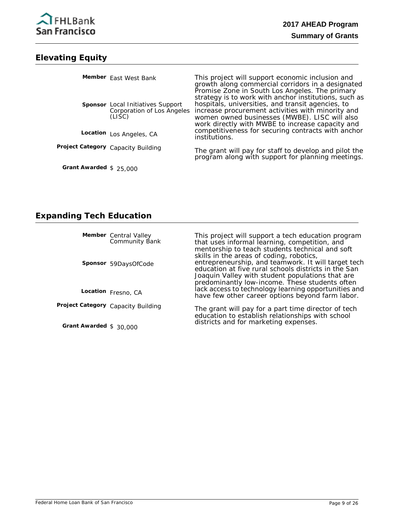

## **Elevating Equity**

|                         | Member East West Bank                                                            | This project will support economic inclusion and<br>growth along commercial corridors in a designated<br>Promise Zone in South Los Angeles. The primary                                                                                                              |
|-------------------------|----------------------------------------------------------------------------------|----------------------------------------------------------------------------------------------------------------------------------------------------------------------------------------------------------------------------------------------------------------------|
|                         | <b>Sponsor</b> Local Initiatives Support<br>Corporation of Los Angeles<br>(LISC) | strategy is to work with anchor institutions, such as<br>hospitals, universities, and transit agencies, to<br>increase procurement activities with minority and<br>women owned businesses (MWBE). LISC will also<br>work directly with MWBE to increase capacity and |
|                         | Location Los Angeles, CA                                                         | competitiveness for securing contracts with anchor<br>institutions.                                                                                                                                                                                                  |
|                         | Project Category Capacity Building                                               | The grant will pay for staff to develop and pilot the program along with support for planning meetings.                                                                                                                                                              |
| Grant Awarded $$25,000$ |                                                                                  |                                                                                                                                                                                                                                                                      |

# **Expanding Tech Education**

|                         | <b>Member</b> Central Valley<br>Community Bank | This project will support a tech education program<br>that uses informal learning, competition, and<br>mentorship to teach students technical and soft<br>skills in the areas of coding, robotics,                |
|-------------------------|------------------------------------------------|-------------------------------------------------------------------------------------------------------------------------------------------------------------------------------------------------------------------|
|                         | Sponsor 59DaysOfCode                           | entrepreneurship, and teamwork. It will target tech<br>education at five rural schools districts in the San<br>Joaquin Valley with student populations that are<br>predominantly low-income. These students often |
|                         | Location Fresno, CA                            | lack access to technology learning opportunities and<br>have few other career options beyond farm labor.                                                                                                          |
|                         | Project Category Capacity Building             | The grant will pay for a part time director of tech<br>education to establish relationships with school<br>districts and for marketing expenses.                                                                  |
| Grant Awarded $$30,000$ |                                                |                                                                                                                                                                                                                   |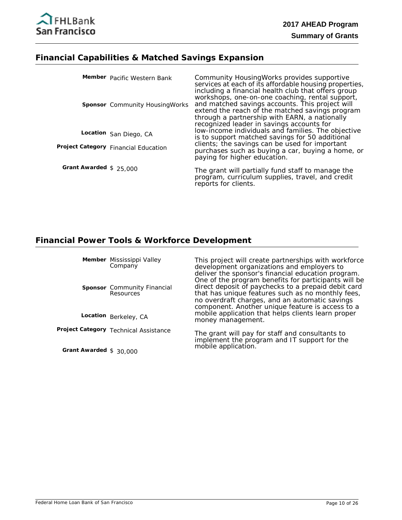# **Financial Capabilities & Matched Savings Expansion**

|                         | Member Pacific Western Bank<br><b>Sponsor</b> Community Housing Works | Community HousingWorks provides supportive<br>services at each of its affordable housing properties,<br>including a financial health club that offers group<br>workshops, one-on-one coaching, rental support,<br>and matched savings accounts. This project will<br>extend the reach of the matched savings program<br>through a partnership with EARN, a nationally<br>recognized leader in savings accounts for |
|-------------------------|-----------------------------------------------------------------------|--------------------------------------------------------------------------------------------------------------------------------------------------------------------------------------------------------------------------------------------------------------------------------------------------------------------------------------------------------------------------------------------------------------------|
|                         | Location San Diego, CA                                                | low-income individuals and families. The objective<br>is to support matched savings for 50 additional                                                                                                                                                                                                                                                                                                              |
|                         | Project Category Financial Education                                  | clients; the savings can be used for important<br>purchases such as buying a car, buying a home, or<br>paying for higher education.                                                                                                                                                                                                                                                                                |
| Grant Awarded $$25,000$ |                                                                       | The grant will partially fund staff to manage the<br>program, curriculum supplies, travel, and credit<br>reports for clients.                                                                                                                                                                                                                                                                                      |

# **Financial Power Tools & Workforce Development**

|                         | Member Mississippi Valley<br>Company                   | This project will create partnerships with workforce<br>development organizations and employers to<br>deliver the sponsor's financial education program.<br>One of the program benefits for participants will be |
|-------------------------|--------------------------------------------------------|------------------------------------------------------------------------------------------------------------------------------------------------------------------------------------------------------------------|
|                         | <b>Sponsor</b> Community Financial<br><b>Resources</b> | direct deposit of paychecks to a prepaid debit card<br>that has unique features such as no monthly fees,<br>no overdraft charges, and an automatic savings<br>component. Another unique feature is access to a   |
|                         | Location Berkeley, CA                                  | mobile application that helps clients learn proper<br>money management.                                                                                                                                          |
|                         | Project Category Technical Assistance                  | The grant will pay for staff and consultants to<br>implement the program and IT support for the<br>mobile application.                                                                                           |
| Grant Awarded $$30,000$ |                                                        |                                                                                                                                                                                                                  |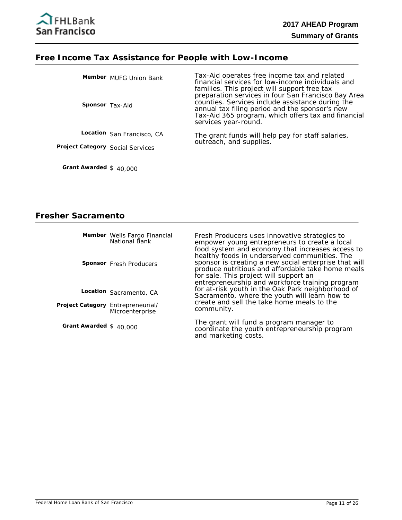### **Free Income Tax Assistance for People with Low-Income**

| <b>Sponsor</b> Tax-Aid           | Member MUFG Union Bank     | Tax-Aid operates free income tax and related<br>financial services for low-income individuals and<br>families. This project will support free tax<br>preparation services in four San Francisco Bay Area<br>counties. Services include assistance during the<br>annual tax filing period and the sponsor's new<br>Tax-Aid 365 program, which offers tax and financial<br>services year-round. |
|----------------------------------|----------------------------|-----------------------------------------------------------------------------------------------------------------------------------------------------------------------------------------------------------------------------------------------------------------------------------------------------------------------------------------------------------------------------------------------|
|                                  | Location San Francisco, CA | The grant funds will help pay for staff salaries,                                                                                                                                                                                                                                                                                                                                             |
| Project Category Social Services |                            | outreach, and supplies.                                                                                                                                                                                                                                                                                                                                                                       |
| Grant Awarded $$40,000$          |                            |                                                                                                                                                                                                                                                                                                                                                                                               |

# **Fresher Sacramento**

|                                   | Member Wells Fargo Financial<br>National Bank | Fresh Producers uses innovative strategies to<br>empower young entrepreneurs to create a local<br>food system and economy that increases access to<br>healthy foods in underserved communities. The     |
|-----------------------------------|-----------------------------------------------|---------------------------------------------------------------------------------------------------------------------------------------------------------------------------------------------------------|
|                                   | Sponsor Fresh Producers                       | sponsor is creating a new social enterprise that will<br>produce nutritious and affordable take home meals<br>for sale. This project will support an<br>entrepreneurship and workforce training program |
|                                   | Location Sacramento, CA                       | for at-risk youth in the Oak Park neighborhood of<br>Sacramento, where the youth will learn how to                                                                                                      |
| Project Category Entrepreneurial/ | Microenterprise                               | create and sell the take home meals to the<br>community.                                                                                                                                                |
| Grant Awarded $$40,000$           |                                               | The grant will fund a program manager to<br>coordinate the youth entrepreneurship program                                                                                                               |

and marketing costs.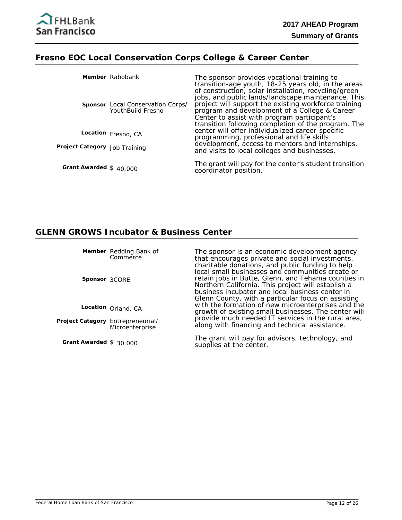

# **Fresno EOC Local Conservation Corps College & Career Center**

|                               | Member Rabobank                                        | The sponsor provides vocational training to<br>transition-age youth, 18-25 years old, in the areas<br>of construction, solar installation, recycling/green                                                                                                        |
|-------------------------------|--------------------------------------------------------|-------------------------------------------------------------------------------------------------------------------------------------------------------------------------------------------------------------------------------------------------------------------|
|                               | Sponsor Local Conservation Corps/<br>YouthBuild Fresno | jobs, and public lands/landscape maintenance. This<br>project will support the existing workforce training<br>program and development of a College & Career<br>Center to assist with program participant's<br>transition following completion of the program. The |
|                               | Location Fresno, CA                                    | center will offer individualized career-specific<br>programming, professional and life skills                                                                                                                                                                     |
| Project Category Job Training |                                                        | development, access to mentors and internships,<br>and visits to local colleges and businesses.                                                                                                                                                                   |
| Grant Awarded $$40,000$       |                                                        | The grant will pay for the center's student transition<br>coordinator position.                                                                                                                                                                                   |

# **GLENN GROWS Incubator & Business Center**

|                                   | Member Redding Bank of<br>Commerce | The sponsor is an economic development agency<br>that encourages private and social investments,<br>charitable donations, and public funding to help                                                                                                                   |
|-----------------------------------|------------------------------------|------------------------------------------------------------------------------------------------------------------------------------------------------------------------------------------------------------------------------------------------------------------------|
| Sponsor 3CORE                     |                                    | local small businesses and communities create or<br>retain jobs in Butte, Glenn, and Tehama counties in<br>Northern California. This project will establish a<br>business incubator and local business center in<br>Glenn County, with a particular focus on assisting |
|                                   | Location Orland, CA                | with the formation of new microenterprises and the<br>growth of existing small businesses. The center will                                                                                                                                                             |
| Project Category Entrepreneurial/ | Microenterprise                    | provide much needed IT services in the rural area,<br>along with financing and technical assistance.                                                                                                                                                                   |
| Grant Awarded $$30,000$           |                                    | The grant will pay for advisors, technology, and<br>supplies at the center.                                                                                                                                                                                            |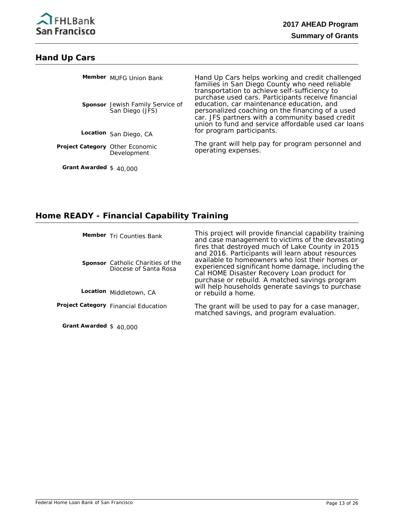

#### **Hand Up Cars**

|                                        | Member MUFG Union Bank<br><b>Sponsor</b> Jewish Family Service of<br>San Diego (JFS) | Hand Up Cars helps working and credit challenged<br>families in San Diego County who need reliable<br>transportation to achieve self-sufficiency to<br>purchase used cars. Participants receive financial<br>education, car maintenance education, and<br>personalized coaching on the financing of a used<br>car. JFS partners with a community based credit |
|----------------------------------------|--------------------------------------------------------------------------------------|---------------------------------------------------------------------------------------------------------------------------------------------------------------------------------------------------------------------------------------------------------------------------------------------------------------------------------------------------------------|
|                                        | Location San Diego, CA                                                               | union to fund and service affordable used car loans<br>for program participants.                                                                                                                                                                                                                                                                              |
| <b>Project Category Other Economic</b> | Development                                                                          | The grant will help pay for program personnel and<br>operating expenses.                                                                                                                                                                                                                                                                                      |

### **Home READY - Financial Capability Training**

**Member** Tri Counties Bank

**Sponsor** Catholic Charities of the Diocese of Santa Rosa

Location Middletown, CA

**Project Category** Financial Education

**Grant Awarded** \$ 40,000

**Grant Awarded** \$ 40,000

This project will provide financial capability training and case management to victims of the devastating fires that destroyed much of Lake County in 2015 and 2016. Participants will learn about resources available to homeowners who lost their homes or experienced significant home damage, including the Cal HOME Disaster Recovery Loan product for purchase or rebuild. A matched savings program will help households generate savings to purchase or rebuild a home.

The grant will be used to pay for a case manager, matched savings, and program evaluation.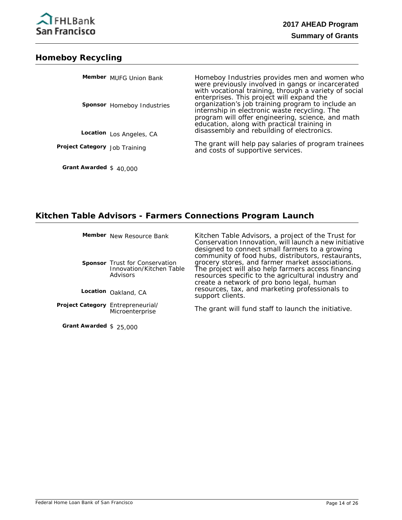

### **Homeboy Recycling**

|                               | Member MUFG Union Bank            | Homeboy Industries provides men and women who<br>were previously involved in gangs or incarcerated<br>with vocational training, through a variety of social<br>enterprises. This project will expand the |
|-------------------------------|-----------------------------------|----------------------------------------------------------------------------------------------------------------------------------------------------------------------------------------------------------|
|                               | <b>Sponsor</b> Homeboy Industries | organization's job training program to include an<br>internship in electronic waste recycling. The<br>program will offer engineering, science, and math<br>education, along with practical training in   |
|                               | Location Los Angeles, CA          | disassembly and rebuilding of electronics.                                                                                                                                                               |
| Project Category Job Training |                                   | The grant will help pay salaries of program trainees<br>and costs of supportive services.                                                                                                                |

## **Kitchen Table Advisors - Farmers Connections Program Launch**

|                                   | Member New Resource Bank                                                      | Kitchen Table Advisors, a project of the Trust for<br>Conservation Innovation, will launch a new initiative<br>designed to connect small farmers to a growing<br>community of food hubs, distributors, restaurants, |
|-----------------------------------|-------------------------------------------------------------------------------|---------------------------------------------------------------------------------------------------------------------------------------------------------------------------------------------------------------------|
|                                   | <b>Sponsor</b> Trust for Conservation<br>Innovation/Kitchen Table<br>Advisors | grocery stores, and farmer market associations.<br>The project will also help farmers access financing<br>resources specific to the agricultural industry and<br>create a network of pro bono legal, human          |
|                                   | Location Oakland, CA                                                          | resources, tax, and marketing professionals to<br>support clients.                                                                                                                                                  |
| Project Category Entrepreneurial/ | Microenterprise                                                               | The grant will fund staff to launch the initiative.                                                                                                                                                                 |

**Grant Awarded** \$ 25,000

**Grant Awarded** \$ 40,000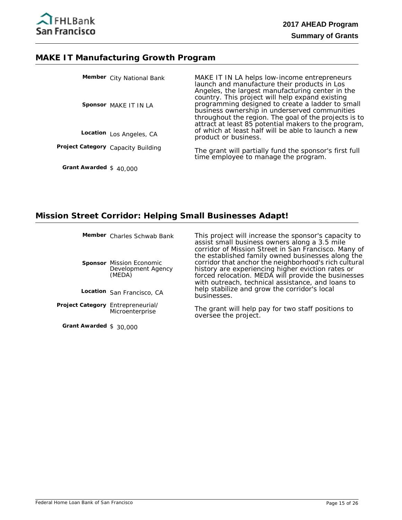#### **MAKE IT Manufacturing Growth Program**

|                         | Member City National Bank          | MAKE IT IN LA helps low-income entrepreneurs<br>launch and manufacture their products in Los<br>Angeles, the largest manufacturing center in the                                                                                                                      |
|-------------------------|------------------------------------|-----------------------------------------------------------------------------------------------------------------------------------------------------------------------------------------------------------------------------------------------------------------------|
|                         | Sponsor MAKE IT IN LA              | country. This project will help expand existing<br>programming designed to create a ladder to small<br>business ownership in underserved communities<br>throughout the region. The goal of the projects is to<br>attract at least 85 potential makers to the program, |
|                         | Location Los Angeles, CA           | of which at least half will be able to launch a new<br>product or business.                                                                                                                                                                                           |
|                         | Project Category Capacity Building | The grant will partially fund the sponsor's first full time employee to manage the program.                                                                                                                                                                           |
| Grant Awarded $$40,000$ |                                    |                                                                                                                                                                                                                                                                       |

### **Mission Street Corridor: Helping Small Businesses Adapt!**

**Member** Charles Schwab Bank

**Sponsor** Mission Economic Development Agency (MEDA)

**Location** San Francisco, CA

Project Category Entrepreneurial/ **Microenterprise** 

**Grant Awarded** \$ 30,000

This project will increase the sponsor's capacity to assist small business owners along a 3.5 mile corridor of Mission Street in San Francisco. Many of the established family owned businesses along the corridor that anchor the neighborhood's rich cultural history are experiencing higher eviction rates or forced relocation. MEDA will provide the businesses with outreach, technical assistance, and loans to help stabilize and grow the corridor's local businesses.

The grant will help pay for two staff positions to oversee the project.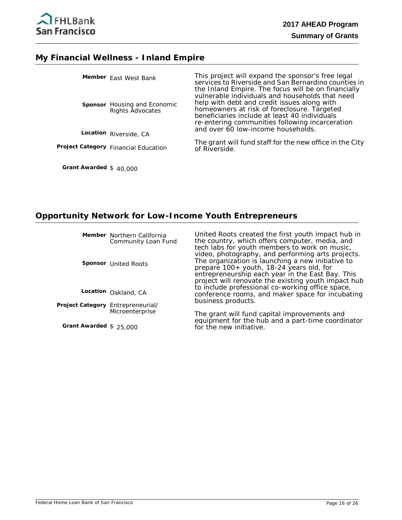

#### **My Financial Wellness - Inland Empire**

|  | Member East West Bank                                   | This project will expand the sponsor's free legal<br>services to Riverside and San Bernardino counties in<br>the Inland Empire. The focus will be on financially                                                                                  |
|--|---------------------------------------------------------|---------------------------------------------------------------------------------------------------------------------------------------------------------------------------------------------------------------------------------------------------|
|  | <b>Sponsor</b> Housing and Economic<br>Rights Advocates | vulnerable individuals and households that need<br>help with debt and credit issues along with<br>homeowners at risk of foreclosure. Targeted<br>beneficiaries include at least 40 individuals<br>re-entering communities following incarceration |
|  | Location Riverside, CA                                  | and over 60 low-income households.                                                                                                                                                                                                                |
|  | Project Category Financial Education                    | The grant will fund staff for the new office in the City<br>of Riverside.                                                                                                                                                                         |
|  |                                                         |                                                                                                                                                                                                                                                   |

**Grant Awarded** \$ 40,000

# **Opportunity Network for Low-Income Youth Entrepreneurs**

|                                   | Member Northern California<br>Community Loan Fund | United Roots created the first youth impact hub in<br>the country, which offers computer, media, and<br>tech labs for youth members to work on music,                                                                                                         |
|-----------------------------------|---------------------------------------------------|---------------------------------------------------------------------------------------------------------------------------------------------------------------------------------------------------------------------------------------------------------------|
|                                   | <b>Sponsor</b> United Roots                       | video, photography, and performing arts projects.<br>The organization is launching a new initiative to<br>prepare 100+ youth, 18-24 years old, for<br>entrepreneurship each year in the East Bay. This<br>project will renovate the existing youth impact hub |
|                                   | Location Oakland, CA                              | to include professional co-working office space,<br>conference rooms, and maker space for incubating                                                                                                                                                          |
| Project Category Entrepreneurial/ | Microenterprise                                   | business products.<br>The grant will fund capital improvements and<br>equipment for the bub and a part-time coordinator                                                                                                                                       |

**Grant Awarded** \$ 25,000

equipment for the hub and a part-time coordinator for the new initiative.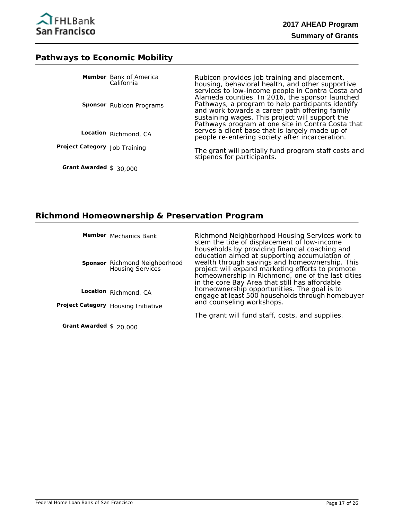

#### **Pathways to Economic Mobility**

**Grant Awarded** \$ 30,000

|                               | <b>Member</b> Bank of America<br>California | Rubicon provides job training and placement,<br>housing, behavioral health, and other supportive<br>services to low-income people in Contra Costa and                                                                                                          |
|-------------------------------|---------------------------------------------|----------------------------------------------------------------------------------------------------------------------------------------------------------------------------------------------------------------------------------------------------------------|
|                               | <b>Sponsor</b> Rubicon Programs             | Alameda counties. In 2016, the sponsor launched<br>Pathways, a program to help participants identify<br>and work towards a career path offering family<br>sustaining wages. This project will support the<br>Pathways program at one site in Contra Costa that |
|                               | Location Richmond, CA                       | serves a client base that is largely made up of<br>people re-entering society after incarceration.                                                                                                                                                             |
| Project Category Job Training |                                             | The grant will partially fund program staff costs and<br>stipends for participants.                                                                                                                                                                            |

#### **Richmond Homeownership & Preservation Program**

**Member** Mechanics Bank

**Sponsor** Richmond Neighborhood Housing Services

**Location** Richmond, CA

**Project Category** Housing Initiative

**Grant Awarded** \$ 20,000

Richmond Neighborhood Housing Services work to stem the tide of displacement of low-income households by providing financial coaching and education aimed at supporting accumulation of wealth through savings and homeownership. This project will expand marketing efforts to promote homeownership in Richmond, one of the last cities in the core Bay Area that still has affordable homeownership opportunities. The goal is to engage at least 500 households through homebuyer and counseling workshops.

The grant will fund staff, costs, and supplies.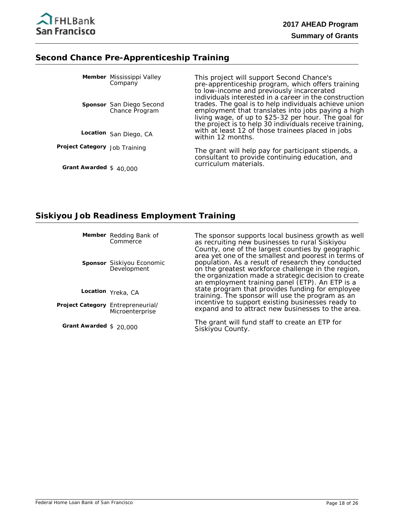

#### **Second Chance Pre-Apprenticeship Training**

|                               | Member Mississippi Valley<br>Company       | This project will support Second Chance's<br>pre-apprenticeship program, which offers training<br>to low-income and previously incarcerated<br>individuals interested in a career in the construction                          |
|-------------------------------|--------------------------------------------|--------------------------------------------------------------------------------------------------------------------------------------------------------------------------------------------------------------------------------|
|                               | Sponsor San Diego Second<br>Chance Program | trades. The goal is to help individuals achieve union<br>employment that translates into jobs paying a high<br>living wage, of up to \$25-32 per hour. The goal for<br>the project is to help 30 individuals receive training, |
|                               | Location San Diego, CA                     | with at least 12 of those trainees placed in jobs<br>within 12 months.                                                                                                                                                         |
| Project Category Job Training |                                            | The grant will help pay for participant stipends, a<br>consultant to provide continuing education, and<br>curriculum materials.                                                                                                |
| Grant Awarded $$40,000$       |                                            |                                                                                                                                                                                                                                |

#### **Siskiyou Job Readiness Employment Training**

**Member** Redding Bank of **Commerce** 

**Sponsor** Siskiyou Economic Development

**Location** Yreka, CA

Project Category Entrepreneurial/ Microenterprise

**Grant Awarded** \$ 20,000

The sponsor supports local business growth as well as recruiting new businesses to rural Siskiyou County, one of the largest counties by geographic area yet one of the smallest and poorest in terms of population. As a result of research they conducted on the greatest workforce challenge in the region, the organization made a strategic decision to create an employment training panel (ETP). An ETP is a state program that provides funding for employee training. The sponsor will use the program as an incentive to support existing businesses ready to expand and to attract new businesses to the area.

The grant will fund staff to create an ETP for Siskiyou County.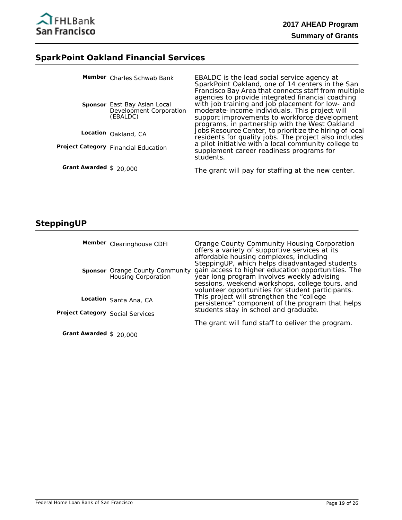

# **SparkPoint Oakland Financial Services**

|                         | Member Charles Schwab Bank                                          | EBALDC is the lead social service agency at<br>SparkPoint Oakland, one of 14 centers in the San<br>Francisco Bay Area that connects staff from multiple                                                                                                    |
|-------------------------|---------------------------------------------------------------------|------------------------------------------------------------------------------------------------------------------------------------------------------------------------------------------------------------------------------------------------------------|
|                         | Sponsor East Bay Asian Local<br>Development Corporation<br>(EBALDC) | agencies to provide integrated financial coaching<br>with job training and job placement for low- and<br>moderate-income individuals. This project will<br>support improvements to workforce development<br>programs, in partnership with the West Oakland |
|                         | Location Oakland, CA                                                | Jobs Resource Center, to prioritize the hiring of local<br>residents for quality jobs. The project also includes                                                                                                                                           |
|                         | Project Category Financial Education                                | a pilot initiative with a local community college to<br>supplement career readiness programs for<br>students.                                                                                                                                              |
| Grant Awarded $$20,000$ |                                                                     | The grant will pay for staffing at the new center.                                                                                                                                                                                                         |

# **SteppingUP**

|                                  | Member Clearinghouse CDFI                              | Orange County Community Housing Corporation<br>offers a variety of supportive services at its<br>affordable housing complexes, including<br>SteppingUP, which helps disadvantaged students               |
|----------------------------------|--------------------------------------------------------|----------------------------------------------------------------------------------------------------------------------------------------------------------------------------------------------------------|
|                                  | Sponsor Orange County Community<br>Housing Corporation | gain access to higher education opportunities. The<br>year long program involves weekly advising<br>sessions, weekend workshops, college tours, and<br>volunteer opportunities for student participants. |
|                                  | Location Santa Ana, CA                                 | This project will strengthen the "college"<br>persistence" component of the program that helps                                                                                                           |
| Project Category Social Services |                                                        | students stay in school and graduate.                                                                                                                                                                    |
|                                  |                                                        | The grant will fund staff to deliver the program.                                                                                                                                                        |

**Grant Awarded** \$ 20,000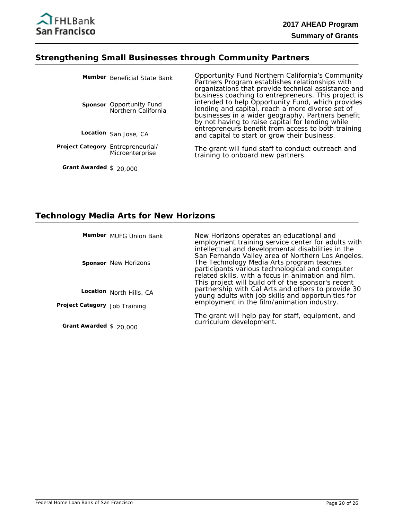

#### **Strengthening Small Businesses through Community Partners**

|                                   | Member Beneficial State Bank                           | Opportunity Fund Northern California's Community<br>Partners Program establishes relationships with<br>organizations that provide technical assistance and<br>business coaching to entrepreneurs. This project is<br>intended to help Opportunity Fund, which provides<br>lending and capital, reach a more diverse set of<br>businesses in a wider geography. Partners benefit<br>by not having to raise capital for lending while<br>entrepreneurs benefit from access to both training<br>and capital to start or grow their business. |
|-----------------------------------|--------------------------------------------------------|-------------------------------------------------------------------------------------------------------------------------------------------------------------------------------------------------------------------------------------------------------------------------------------------------------------------------------------------------------------------------------------------------------------------------------------------------------------------------------------------------------------------------------------------|
|                                   | <b>Sponsor</b> Opportunity Fund<br>Northern California |                                                                                                                                                                                                                                                                                                                                                                                                                                                                                                                                           |
|                                   | Location San Jose, CA                                  |                                                                                                                                                                                                                                                                                                                                                                                                                                                                                                                                           |
| Project Category Entrepreneurial/ | Microenterprise                                        | The grant will fund staff to conduct outreach and<br>training to onboard new partners.                                                                                                                                                                                                                                                                                                                                                                                                                                                    |

**Grant Awarded** \$ 20,000

# **Technology Media Arts for New Horizons**

|                               | Member MUFG Union Bank      | New Horizons operates an educational and<br>employment training service center for adults with<br>intellectual and developmental disabilities in the                                                                                                                                                                                                                                                                      |
|-------------------------------|-----------------------------|---------------------------------------------------------------------------------------------------------------------------------------------------------------------------------------------------------------------------------------------------------------------------------------------------------------------------------------------------------------------------------------------------------------------------|
|                               | <b>Sponsor</b> New Horizons | San Fernando Valley area of Northern Los Angeles.<br>The Technology Media Arts program teaches<br>participants various technological and computer<br>related skills, with a focus in animation and film.<br>This project will build off of the sponsor's recent<br>partnership with Cal Arts and others to provide 30<br>young adults with job skills and opportunities for<br>employment in the film/animation industry. |
|                               | Location North Hills, CA    |                                                                                                                                                                                                                                                                                                                                                                                                                           |
| Project Category Job Training |                             |                                                                                                                                                                                                                                                                                                                                                                                                                           |
| Grant Awarded $$20,000$       |                             | The grant will help pay for staff, equipment, and<br>curriculum development.                                                                                                                                                                                                                                                                                                                                              |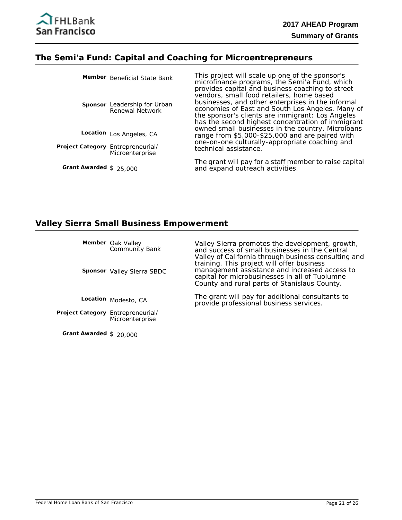

#### **The Semi'a Fund: Capital and Coaching for Microentrepreneurs**

|                                   | Member Beneficial State Bank                    | This project will scale up one of the sponsor's<br>microfinance programs, the Semi'a Fund, which<br>provides capital and business coaching to street                                                                                                        |
|-----------------------------------|-------------------------------------------------|-------------------------------------------------------------------------------------------------------------------------------------------------------------------------------------------------------------------------------------------------------------|
|                                   | Sponsor Leadership for Urban<br>Renewal Network | vendors, small food retailers, home based<br>businesses, and other enterprises in the informal<br>economies of East and South Los Angeles. Many of<br>the sponsor's clients are immigrant: Los Angeles<br>has the second highest concentration of immigrant |
|                                   | Location Los Angeles, CA                        | owned small businesses in the country. Microloans<br>range from \$5,000-\$25,000 and are paired with                                                                                                                                                        |
| Project Category Entrepreneurial/ | Microenterprise                                 | one-on-one culturally-appropriate coaching and<br>technical assistance.                                                                                                                                                                                     |
| Grant Awarded $$25,000$           |                                                 | The grant will pay for a staff member to raise capital<br>and expand outreach activities.                                                                                                                                                                   |

#### **Valley Sierra Small Business Empowerment**

Oak Valley Community Bank **Member**

**Sponsor** Valley Sierra SBDC

**Location** Modesto, CA

Project Category Entrepreneurial/ Microenterprise

**Grant Awarded** \$ 20,000

Valley Sierra promotes the development, growth, and success of small businesses in the Central Valley of California through business consulting and training. This project will offer business management assistance and increased access to capital for microbusinesses in all of Tuolumne County and rural parts of Stanislaus County.

The grant will pay for additional consultants to provide professional business services.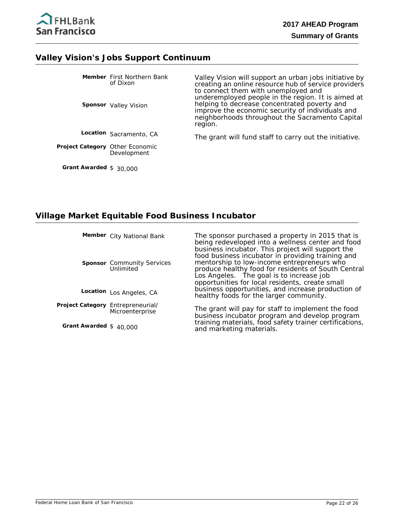

#### **Valley Vision's Jobs Support Continuum**

|                                        | Member First Northern Bank<br>of Dixon<br><b>Sponsor</b> Valley Vision | Valley Vision will support an urban jobs initiative by<br>creating an online resource hub of service providers<br>to connect them with unemployed and<br>underemployed people in the region. It is aimed at<br>helping to decrease concentrated poverty and<br>improve the economic security of individuals and<br>neighborhoods throughout the Sacramento Capital<br>region. |
|----------------------------------------|------------------------------------------------------------------------|-------------------------------------------------------------------------------------------------------------------------------------------------------------------------------------------------------------------------------------------------------------------------------------------------------------------------------------------------------------------------------|
|                                        | Location Sacramento, CA                                                | The grant will fund staff to carry out the initiative.                                                                                                                                                                                                                                                                                                                        |
| <b>Project Category Other Economic</b> | Development                                                            |                                                                                                                                                                                                                                                                                                                                                                               |

**Grant Awarded** \$ 30,000

#### **Village Market Equitable Food Business Incubator**

**Member** City National Bank

**Sponsor** Community Services Unlimited

Location Los Angeles, CA

Project Category Entrepreneurial/ **Microenterprise** 

**Grant Awarded** \$ 40,000

The sponsor purchased a property in 2015 that is being redeveloped into a wellness center and food business incubator. This project will support the food business incubator in providing training and mentorship to low-income entrepreneurs who produce healthy food for residents of South Central Los Angeles. The goal is to increase job opportunities for local residents, create small business opportunities, and increase production of healthy foods for the larger community.

The grant will pay for staff to implement the food business incubator program and develop program training materials, food safety trainer certifications, and marketing materials.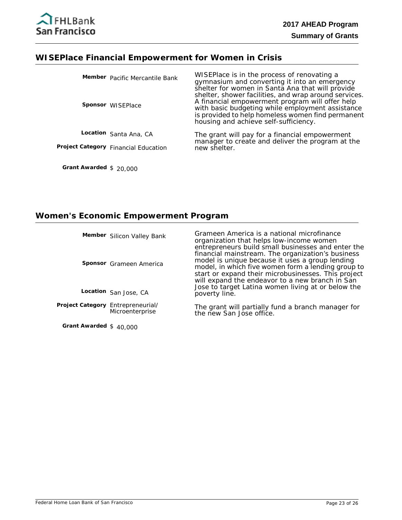# **WISEPlace Financial Empowerment for Women in Crisis**

| Member Pacific Mercantile Bank<br><b>Sponsor</b> WISEPlace | WISEPlace is in the process of renovating a<br>gymnasium and converting it into an emergency<br>shelter for women in Santa Ana that will provide<br>shelter, shower facilities, and wrap around services.<br>A financial empowerment program will offer help<br>with basic budgeting while employment assistance<br>is provided to help homeless women find permanent<br>housing and achieve self-sufficiency. |
|------------------------------------------------------------|----------------------------------------------------------------------------------------------------------------------------------------------------------------------------------------------------------------------------------------------------------------------------------------------------------------------------------------------------------------------------------------------------------------|
| Location Santa Ana, CA                                     | The grant will pay for a financial empowerment                                                                                                                                                                                                                                                                                                                                                                 |
| Project Category Financial Education                       | manager to create and deliver the program at the<br>new shelter.                                                                                                                                                                                                                                                                                                                                               |
|                                                            |                                                                                                                                                                                                                                                                                                                                                                                                                |

# **Women's Economic Empowerment Program**

|                                   | Member Silicon Valley Bank | Grameen America is a national microfinance<br>organization that helps low-income women<br>entrepreneurs build small businesses and enter the                                                                                                                         |
|-----------------------------------|----------------------------|----------------------------------------------------------------------------------------------------------------------------------------------------------------------------------------------------------------------------------------------------------------------|
|                                   | Sponsor Grameen America    | financial mainstream. The organization's business<br>model is unique because it uses a group lending<br>model, in which five women form a lending group to<br>start or expand their microbusinesses. This project<br>will expand the endeavor to a new branch in San |
|                                   | Location San Jose, CA      | Jose to target Latina women living at or below the<br>poverty line.                                                                                                                                                                                                  |
| Project Category Entrepreneurial/ | Microenterprise            | The grant will partially fund a branch manager for<br>the new San Jose office.                                                                                                                                                                                       |

**Grant Awarded** \$ 40,000

**Grant Awarded** \$ 20,000

the new San Jose office.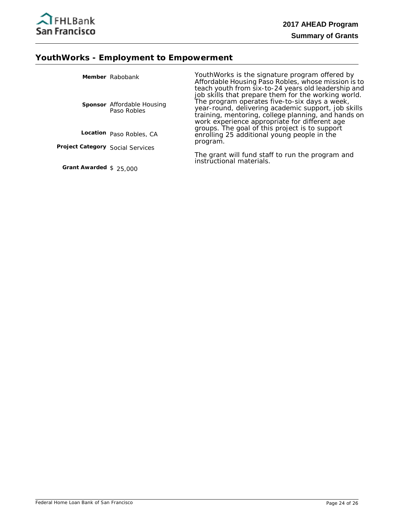

# **YouthWorks - Employment to Empowerment**

|                                  | Member Rabobank                                  | YouthWorks is the signature program offered by<br>Affordable Housing Paso Robles, whose mission is to<br>teach youth from six-to-24 years old leadership and                                                                                                        |
|----------------------------------|--------------------------------------------------|---------------------------------------------------------------------------------------------------------------------------------------------------------------------------------------------------------------------------------------------------------------------|
|                                  | <b>Sponsor</b> Affordable Housing<br>Paso Robles | job skills that prepare them for the working world.<br>The program operates five-to-six days a week,<br>year-round, delivering academic support, job skills<br>training, mentoring, college planning, and hands on<br>work experience appropriate for different age |
|                                  | Location Paso Robles, CA                         | groups. The goal of this project is to support<br>enrolling 25 additional young people in the<br>program.                                                                                                                                                           |
| Project Category Social Services |                                                  |                                                                                                                                                                                                                                                                     |
|                                  |                                                  | The grant will fund staff to run the program and<br>instructional materials.                                                                                                                                                                                        |

**Grant Awarded** \$ 25,000

Federal Home Loan Bank of San Francisco **Page 24 of 26** Page 24 of 26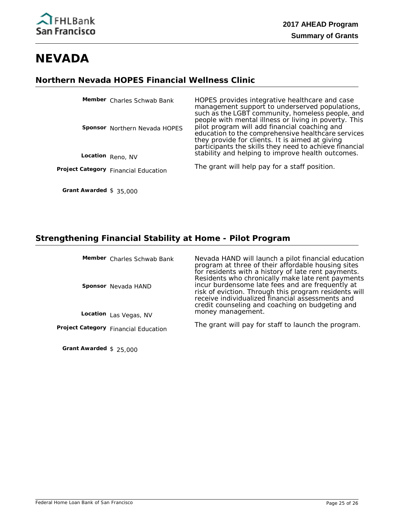# **NEVADA**

### **Northern Nevada HOPES Financial Wellness Clinic**

| Member Charles Schwab Bank           | HOPES provides integrative healthcare and case<br>management support to underserved populations,<br>such as the LGBT community, homeless people, and<br>people with mental illness or living in poverty. This    |
|--------------------------------------|------------------------------------------------------------------------------------------------------------------------------------------------------------------------------------------------------------------|
| <b>Sponsor</b> Northern Nevada HOPES | pilot program will add financial coaching and<br>education to the comprehensive healthcare services<br>they provide for clients. It is aimed at giving<br>participants the skills they need to achieve financial |
| Location Reno, NV                    | stability and helping to improve health outcomes.                                                                                                                                                                |
| Project Category Financial Education | The grant will help pay for a staff position.                                                                                                                                                                    |
|                                      |                                                                                                                                                                                                                  |

### **Strengthening Financial Stability at Home - Pilot Program**

| Member Charles Schwab Bank<br><b>Sponsor</b> Nevada HAND | Nevada HAND will launch a pilot financial education<br>program at three of their affordable housing sites<br>for residents with a history of late rent payments.<br>Residents who chronically make late rent payments<br>incur burdensome late fees and are frequently at<br>risk of eviction. Through this program residents will<br>receive individualized financial assessments and<br>credit counseling and coaching on budgeting and |
|----------------------------------------------------------|-------------------------------------------------------------------------------------------------------------------------------------------------------------------------------------------------------------------------------------------------------------------------------------------------------------------------------------------------------------------------------------------------------------------------------------------|
| Location Las Vegas, NV                                   | money management.                                                                                                                                                                                                                                                                                                                                                                                                                         |
| Project Category Financial Education                     | The grant will pay for staff to launch the program.                                                                                                                                                                                                                                                                                                                                                                                       |

**Grant Awarded** \$ 25,000

**Grant Awarded** \$ 35,000